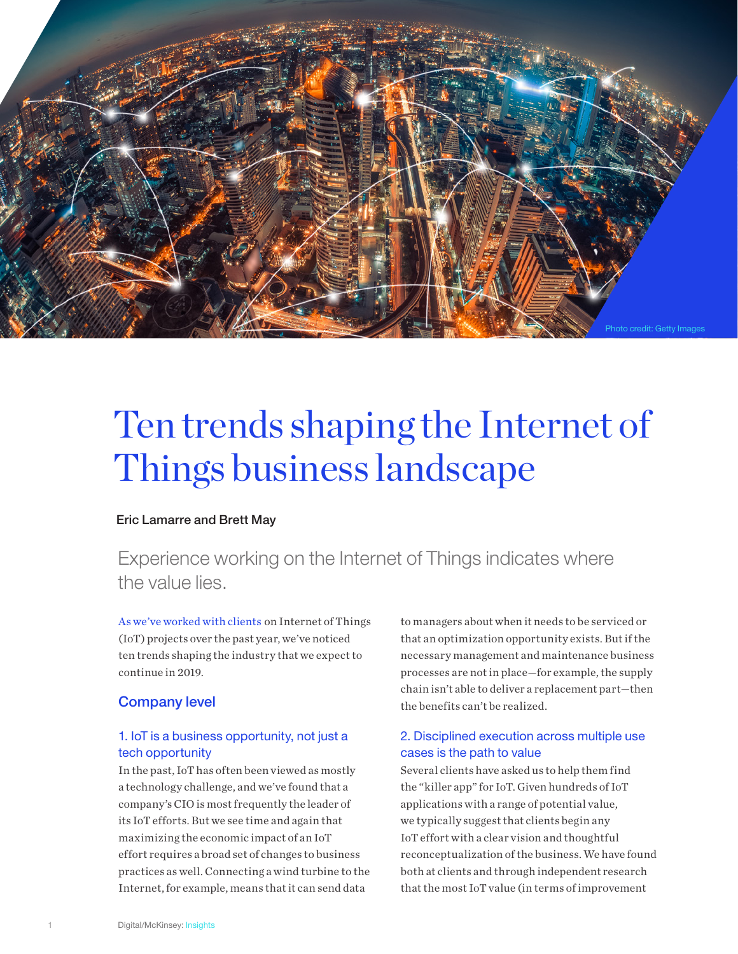

# Ten trends shaping the Internet of Things business landscape

#### Eric Lamarre and Brett May

Experience working on the Internet of Things indicates where the value lies.

As we've worked with clients on Internet of Things (IoT) projects over the past year, we've noticed ten trends shaping the industry that we expect to continue in 2019.

#### Company level

#### 1. IoT is a business opportunity, not just a tech opportunity

In the past, IoT has often been viewed as mostly a technology challenge, and we've found that a company's CIO is most frequently the leader of its IoT efforts. But we see time and again that maximizing the economic impact of an IoT effort requires a broad set of changes to business practices as well. Connecting a wind turbine to the Internet, for example, means that it can send data

to managers about when it needs to be serviced or that an optimization opportunity exists. But if the necessary management and maintenance business processes are not in place—for example, the supply chain isn't able to deliver a replacement part—then the benefits can't be realized.

#### 2. Disciplined execution across multiple use cases is the path to value

Several clients have asked us to help them find the "killer app" for IoT. Given hundreds of IoT applications with a range of potential value, we typically suggest that clients begin any IoT effort with a clear vision and thoughtful reconceptualization of the business. We have found both at clients and through independent research that the most IoT value (in terms of improvement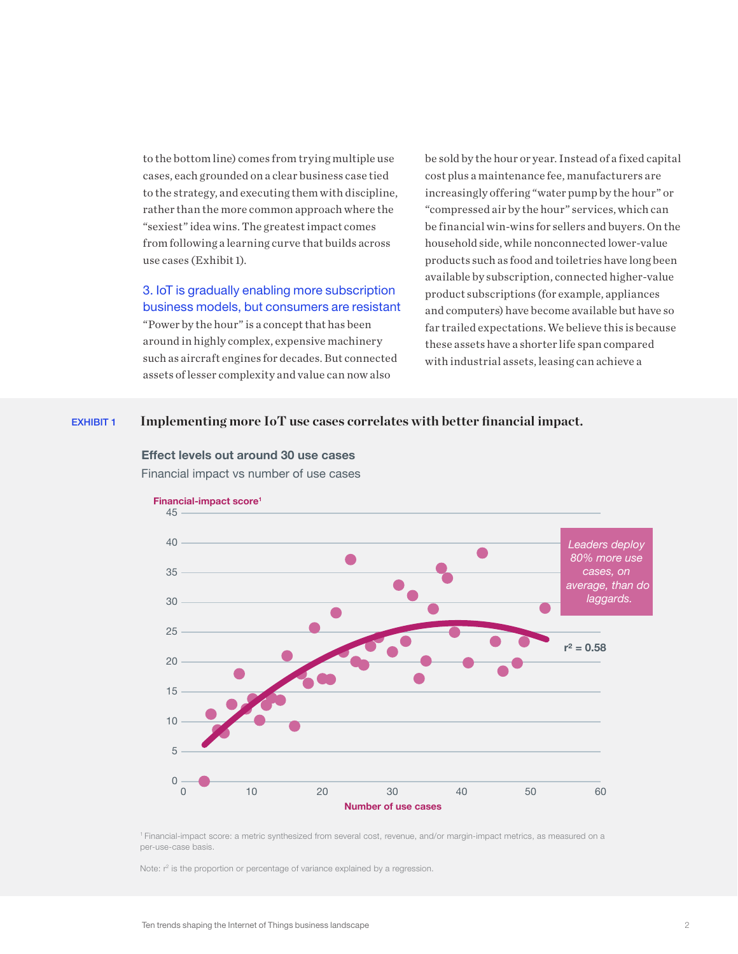to the bottom line) comes from trying multiple use cases, each grounded on a clear business case tied to the strategy, and executing them with discipline, rather than the more common approach where the "sexiest" idea wins. The greatest impact comes from following a learning curve that builds across use cases (Exhibit 1).

# 3. IoT is gradually enabling more subscription business models, but consumers are resistant

"Power by the hour" is a concept that has been around in highly complex, expensive machinery such as aircraft engines for decades. But connected assets of lesser complexity and value can now also

be sold by the hour or year. Instead of a fixed capital cost plus a maintenance fee, manufacturers are increasingly offering "water pump by the hour" or "compressed air by the hour" services, which can be financial win-wins for sellers and buyers. On the household side, while nonconnected lower-value products such as food and toiletries have long been available by subscription, connected higher-value product subscriptions (for example, appliances and computers) have become available but have so far trailed expectations. We believe this is because these assets have a shorter life span compared with industrial assets, leasing can achieve a

#### EXHIBIT 1 **Implementing more IoT use cases correlates with better financial impact.**



**Effect levels out around 30 use cases**  Financial impact vs number of use cases



Note: r<sup>2</sup> is the proportion or percentage of variance explained by a regression.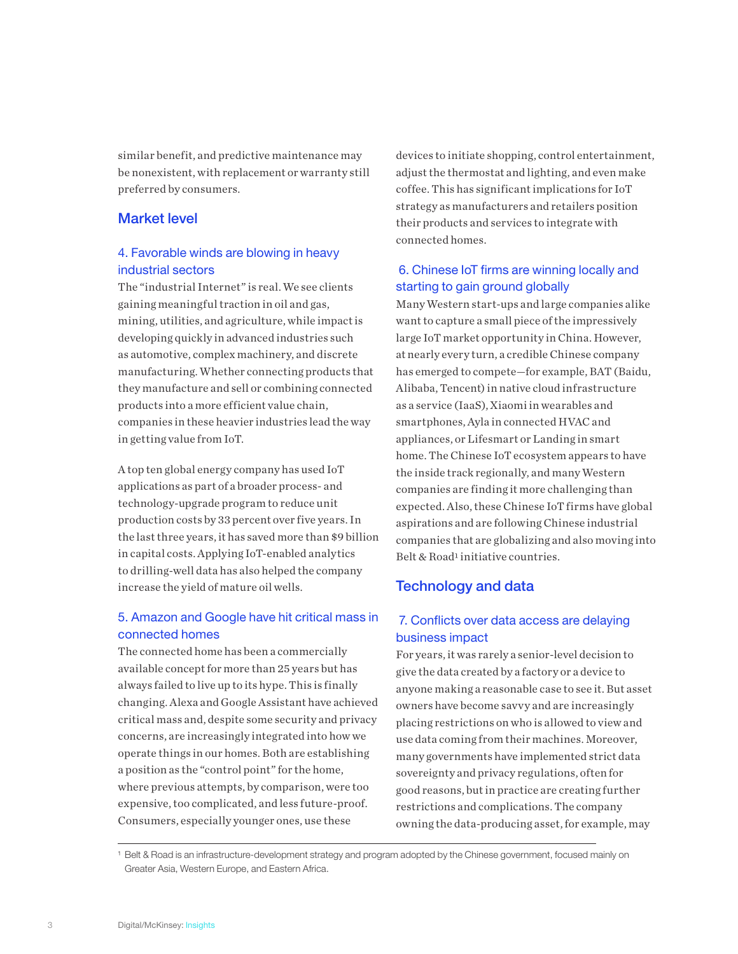similar benefit, and predictive maintenance may be nonexistent, with replacement or warranty still preferred by consumers.

## Market level

#### 4. Favorable winds are blowing in heavy industrial sectors

The "industrial Internet" is real. We see clients gaining meaningful traction in oil and gas, mining, utilities, and agriculture, while impact is developing quickly in advanced industries such as automotive, complex machinery, and discrete manufacturing. Whether connecting products that they manufacture and sell or combining connected products into a more efficient value chain, companies in these heavier industries lead the way in getting value from IoT.

A top ten global energy company has used IoT applications as part of a broader process- and technology-upgrade program to reduce unit production costs by 33 percent over five years. In the last three years, it has saved more than \$9 billion in capital costs. Applying IoT-enabled analytics to drilling-well data has also helped the company increase the yield of mature oil wells.

### 5. Amazon and Google have hit critical mass in connected homes

The connected home has been a commercially available concept for more than 25 years but has always failed to live up to its hype. This is finally changing. Alexa and Google Assistant have achieved critical mass and, despite some security and privacy concerns, are increasingly integrated into how we operate things in our homes. Both are establishing a position as the "control point" for the home, where previous attempts, by comparison, were too expensive, too complicated, and less future-proof. Consumers, especially younger ones, use these

devices to initiate shopping, control entertainment, adjust the thermostat and lighting, and even make coffee. This has significant implications for IoT strategy as manufacturers and retailers position their products and services to integrate with connected homes.

#### 6. Chinese IoT firms are winning locally and starting to gain ground globally

Many Western start-ups and large companies alike want to capture a small piece of the impressively large IoT market opportunity in China. However, at nearly every turn, a credible Chinese company has emerged to compete—for example, BAT (Baidu, Alibaba, Tencent) in native cloud infrastructure as a service (IaaS), Xiaomi in wearables and smartphones, Ayla in connected HVAC and appliances, or Lifesmart or Landing in smart home. The Chinese IoT ecosystem appears to have the inside track regionally, and many Western companies are finding it more challenging than expected. Also, these Chinese IoT firms have global aspirations and are following Chinese industrial companies that are globalizing and also moving into Belt & Road<sup>1</sup> initiative countries.

# Technology and data

#### 7. Conflicts over data access are delaying business impact

For years, it was rarely a senior-level decision to give the data created by a factory or a device to anyone making a reasonable case to see it. But asset owners have become savvy and are increasingly placing restrictions on who is allowed to view and use data coming from their machines. Moreover, many governments have implemented strict data sovereignty and privacy regulations, often for good reasons, but in practice are creating further restrictions and complications. The company owning the data-producing asset, for example, may

1 Belt & Road is an infrastructure-development strategy and program adopted by the Chinese government, focused mainly on Greater Asia, Western Europe, and Eastern Africa.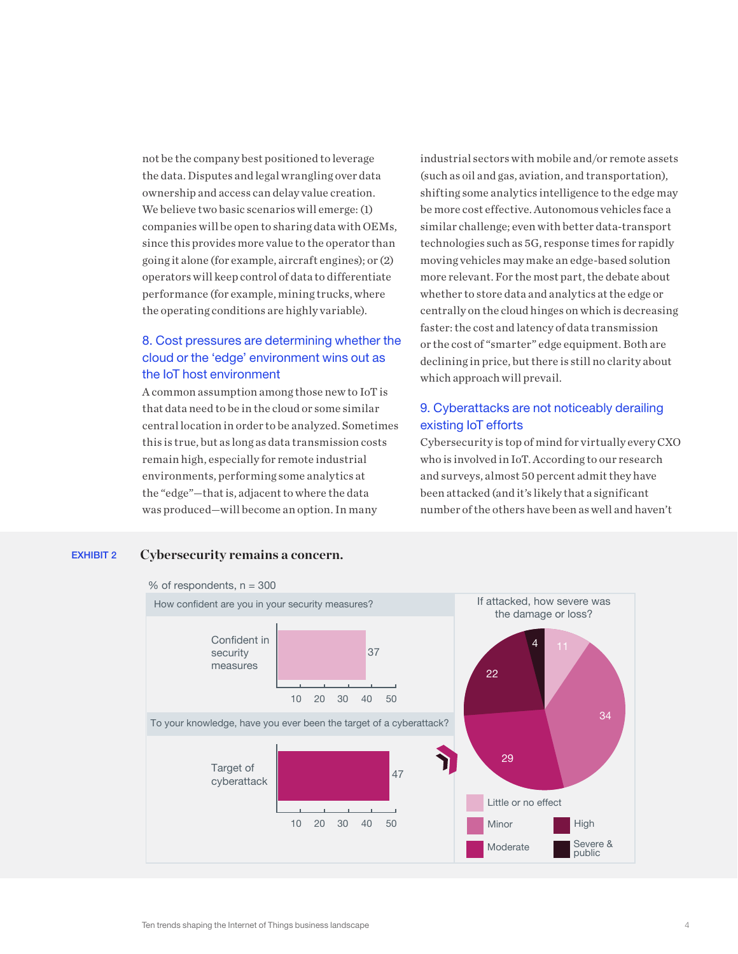not be the company best positioned to leverage the data. Disputes and legal wrangling over data ownership and access can delay value creation. We believe two basic scenarios will emerge: (1) companies will be open to sharing data with OEMs, since this provides more value to the operator than going it alone (for example, aircraft engines); or (2) operators will keep control of data to differentiate performance (for example, mining trucks, where the operating conditions are highly variable).

#### 8. Cost pressures are determining whether the cloud or the 'edge' environment wins out as the IoT host environment

A common assumption among those new to IoT is that data need to be in the cloud or some similar central location in order to be analyzed. Sometimes this is true, but as long as data transmission costs remain high, especially for remote industrial environments, performing some analytics at the "edge"—that is, adjacent to where the data was produced—will become an option. In many

industrial sectors with mobile and/or remote assets (such as oil and gas, aviation, and transportation), shifting some analytics intelligence to the edge may be more cost effective. Autonomous vehicles face a similar challenge; even with better data-transport technologies such as 5G, response times for rapidly moving vehicles may make an edge-based solution more relevant. For the most part, the debate about whether to store data and analytics at the edge or centrally on the cloud hinges on which is decreasing faster: the cost and latency of data transmission or the cost of "smarter" edge equipment. Both are declining in price, but there is still no clarity about which approach will prevail.

#### 9. Cyberattacks are not noticeably derailing existing IoT efforts

Cybersecurity is top of mind for virtually every CXO who is involved in IoT. According to our research and surveys, almost 50 percent admit they have been attacked (and it's likely that a significant number of the others have been as well and haven't

#### % of respondents,  $n = 300$ If attacked, how severe was How confident are you in your security measures? the damage or loss? Confident in 4 security 37 measures 22 10 20 30 40 5034 To your knowledge, have you ever been the target of a cyberattack? Y 29 Target of  $\begin{array}{|c|c|c|c|c|}\n\hline\n&1&1&1&1&1&1\end{array}$ cyberattack Little or no effect High 10 20 30 40 50 Minor Severe & Moderate public

#### EXHIBIT 2 **Cybersecurity remains a concern.**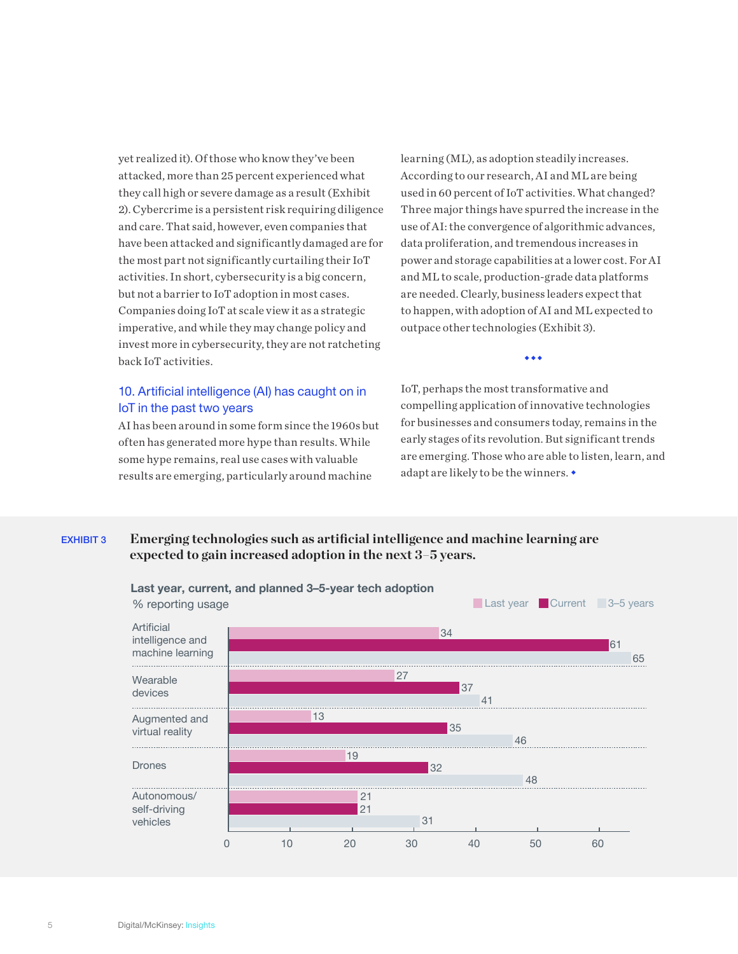yet realized it). Of those who know they've been attacked, more than 25 percent experienced what they call high or severe damage as a result (Exhibit 2). Cybercrime is a persistent risk requiring diligence and care. That said, however, even companies that have been attacked and significantly damaged are for the most part not significantly curtailing their IoT activities. In short, cybersecurity is a big concern, but not a barrier to IoT adoption in most cases. Companies doing IoT at scale view it as a strategic imperative, and while they may change policy and invest more in cybersecurity, they are not ratcheting back IoT activities.

#### 10. Artificial intelligence (AI) has caught on in IoT in the past two years

AI has been around in some form since the 1960s but often has generated more hype than results. While some hype remains, real use cases with valuable results are emerging, particularly around machine

learning (ML), as adoption steadily increases. According to our research, AI and ML are being used in 60 percent of IoT activities. What changed? Three major things have spurred the increase in the use of AI: the convergence of algorithmic advances, data proliferation, and tremendous increases in power and storage capabilities at a lower cost. For AI and ML to scale, production-grade data platforms are needed. Clearly, business leaders expect that to happen, with adoption of AI and ML expected to outpace other technologies (Exhibit 3).

 $\bullet\bullet\bullet$ 

IoT, perhaps the most transformative and compelling application of innovative technologies for businesses and consumers today, remains in the early stages of its revolution. But significant trends are emerging. Those who are able to listen, learn, and adapt are likely to be the winners.

#### EXHIBIT 3 **Emerging technologies such as artificial intelligence and machine learning are expected to gain increased adoption in the next 3–5 years.**